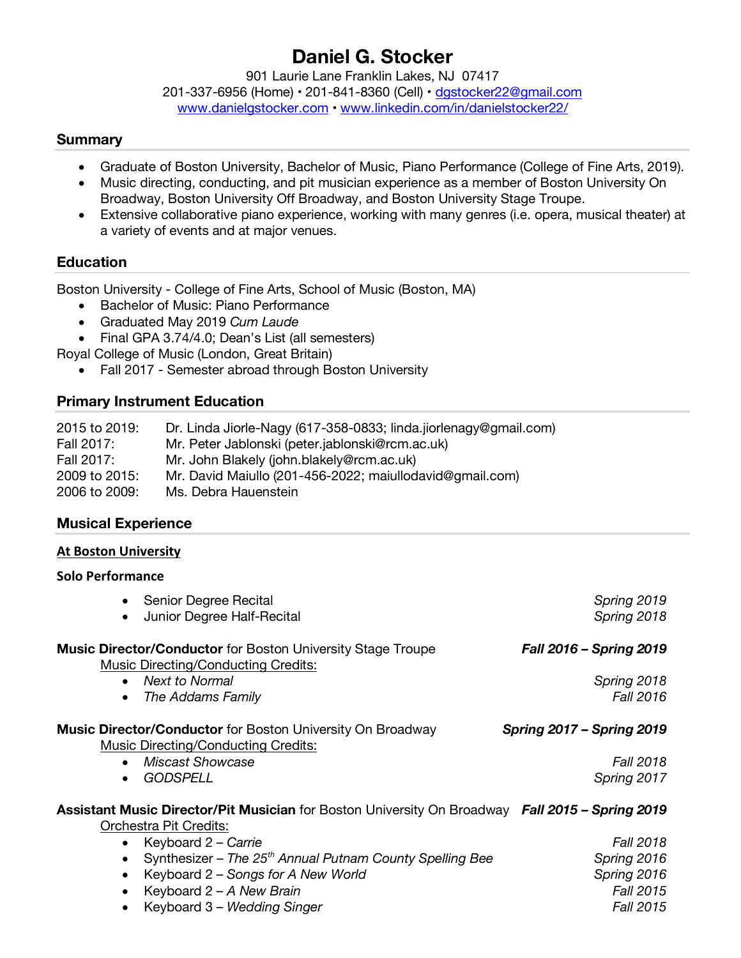# **Daniel G. Stocker**

901 Laurie Lane Franklin Lakes, NJ 07417

201-337-6956 (Home) • 201-841-8360 (Cell) • dgstocker22@gmail.com www.danielgstocker.com • www.linkedin.com/in/danielstocker22/

#### **Summary**

- Graduate of Boston University, Bachelor of Music, Piano Performance (College of Fine Arts, 2019).
- Music directing, conducting, and pit musician experience as a member of Boston University On Broadway, Boston University Off Broadway, and Boston University Stage Troupe.
- Extensive collaborative piano experience, working with many genres (i.e. opera, musical theater) at a variety of events and at major venues.

## **Education**

Boston University - College of Fine Arts, School of Music (Boston, MA)

- Bachelor of Music: Piano Performance
- Graduated May 2019 *Cum Laude*
- Final GPA 3.74/4.0; Dean's List (all semesters)
- Royal College of Music (London, Great Britain)
	- Fall 2017 Semester abroad through Boston University

## **Primary Instrument Education**

| 2015 to 2019: | Dr. Linda Jiorle-Nagy (617-358-0833; linda.jiorlenagy@gmail.com) |
|---------------|------------------------------------------------------------------|
| Fall 2017:    | Mr. Peter Jablonski (peter.jablonski@rcm.ac.uk)                  |
| Fall 2017:    | Mr. John Blakely (john.blakely@rcm.ac.uk)                        |
| 2009 to 2015: | Mr. David Maiullo (201-456-2022; maiullodavid@gmail.com)         |
| 2006 to 2009: | Ms. Debra Hauenstein                                             |

#### **Musical Experience**

#### **At Boston University**

#### **Solo Performance**

| Senior Degree Recital                                                                                                     | Spring 2019                      |
|---------------------------------------------------------------------------------------------------------------------------|----------------------------------|
| Junior Degree Half-Recital<br>$\bullet$                                                                                   | Spring 2018                      |
| <b>Music Director/Conductor</b> for Boston University Stage Troupe<br><b>Music Directing/Conducting Credits:</b>          | Fall 2016 - Spring 2019          |
| <b>Next to Normal</b><br>$\bullet$                                                                                        | Spring 2018                      |
| The Addams Family<br>$\bullet$                                                                                            | Fall 2016                        |
| Music Director/Conductor for Boston University On Broadway<br>Music Directing/Conducting Credits:                         | <b>Spring 2017 - Spring 2019</b> |
| <b>Miscast Showcase</b><br>$\bullet$                                                                                      | <b>Fall 2018</b>                 |
| <b>GODSPELL</b>                                                                                                           | Spring 2017                      |
| Assistant Music Director/Pit Musician for Boston University On Broadway Fall 2015 - Spring 2019<br>Orchestra Pit Credits: |                                  |
| Keyboard 2 - Carrie<br>$\bullet$                                                                                          | <b>Fall 2018</b>                 |
| Synthesizer – The 25 <sup>th</sup> Annual Putnam County Spelling Bee<br>$\bullet$                                         | Spring 2016                      |
| Keyboard 2 – Songs for A New World                                                                                        | Spring 2016                      |
| Keyboard 2 - A New Brain                                                                                                  | Fall 2015                        |
| Kayboard 2 Modding Cingar                                                                                                 | Fall OO15                        |

• Keyboard 3 – *Wedding Singer Fall 2015*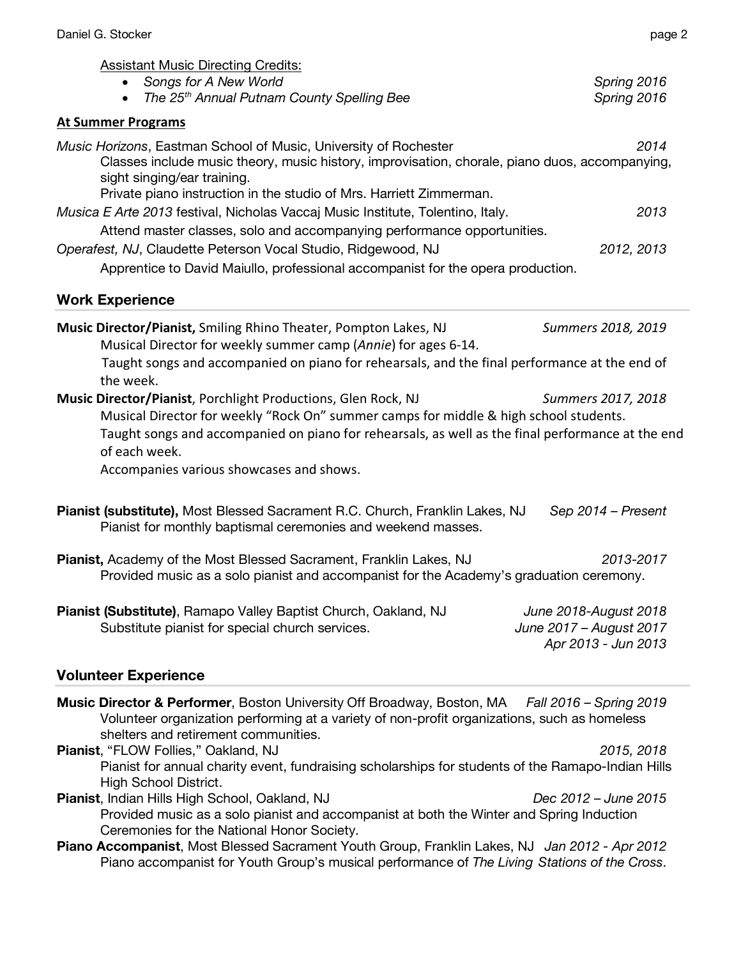| Daniel G. Stocker                                                                                                                                                                                                                                                                                                        | page 2                     |
|--------------------------------------------------------------------------------------------------------------------------------------------------------------------------------------------------------------------------------------------------------------------------------------------------------------------------|----------------------------|
| <b>Assistant Music Directing Credits:</b><br>Songs for A New World<br>The 25 <sup>th</sup> Annual Putnam County Spelling Bee                                                                                                                                                                                             | Spring 2016<br>Spring 2016 |
| <b>At Summer Programs</b>                                                                                                                                                                                                                                                                                                |                            |
| Music Horizons, Eastman School of Music, University of Rochester<br>Classes include music theory, music history, improvisation, chorale, piano duos, accompanying,<br>sight singing/ear training.<br>Private piano instruction in the studio of Mrs. Harriett Zimmerman.                                                 | 2014                       |
| Musica E Arte 2013 festival, Nicholas Vaccaj Music Institute, Tolentino, Italy.                                                                                                                                                                                                                                          | 2013                       |
| Attend master classes, solo and accompanying performance opportunities.                                                                                                                                                                                                                                                  |                            |
| Operafest, NJ, Claudette Peterson Vocal Studio, Ridgewood, NJ                                                                                                                                                                                                                                                            | 2012, 2013                 |
| Apprentice to David Maiullo, professional accompanist for the opera production.                                                                                                                                                                                                                                          |                            |
| <b>Work Experience</b>                                                                                                                                                                                                                                                                                                   |                            |
| Music Director/Pianist, Smiling Rhino Theater, Pompton Lakes, NJ<br>Musical Director for weekly summer camp (Annie) for ages 6-14.<br>Taught songs and accompanied on piano for rehearsals, and the final performance at the end of<br>the week.                                                                         | Summers 2018, 2019         |
| Music Director/Pianist, Porchlight Productions, Glen Rock, NJ<br>Musical Director for weekly "Rock On" summer camps for middle & high school students.<br>Taught songs and accompanied on piano for rehearsals, as well as the final performance at the end<br>of each week.<br>Accompanies various showcases and shows. | Summers 2017, 2018         |
| Pianist (substitute), Most Blessed Sacrament R.C. Church, Franklin Lakes, NJ<br>Pianist for monthly baptismal ceremonies and weekend masses.                                                                                                                                                                             | Sep 2014 - Present         |
| Pianist, Academy of the Most Blessed Sacrament, Franklin Lakes, NJ<br>Provided music as a solo pianist and accompanist for the Academy's graduation ceremony.                                                                                                                                                            | 2013-2017                  |
| Pianist (Substitute), Ramapo Valley Baptist Church, Oakland, NJ                                                                                                                                                                                                                                                          | June 2018-August 2018      |

Substitute pianist for special church services. *June 2017 – August 2017 June 2017 - August 2017*<br>*Apr 2013 - Jun 2013* 

# **Volunteer Experience**

| <b>Music Director &amp; Performer</b> , Boston University Off Broadway, Boston, MA Fall 2016 - Spring 2019<br>Volunteer organization performing at a variety of non-profit organizations, such as homeless<br>shelters and retirement communities. |                      |
|----------------------------------------------------------------------------------------------------------------------------------------------------------------------------------------------------------------------------------------------------|----------------------|
| <b>Pianist, "FLOW Follies," Oakland, NJ</b>                                                                                                                                                                                                        | 2015, 2018           |
| Pianist for annual charity event, fundraising scholarships for students of the Ramapo-Indian Hills                                                                                                                                                 |                      |
| High School District.                                                                                                                                                                                                                              |                      |
| Pianist, Indian Hills High School, Oakland, NJ                                                                                                                                                                                                     | Dec 2012 – June 2015 |
| Provided music as a solo pianist and accompanist at both the Winter and Spring Induction                                                                                                                                                           |                      |
| Ceremonies for the National Honor Society.                                                                                                                                                                                                         |                      |
| Piano Accompanist, Most Blessed Sacrament Youth Group, Franklin Lakes, NJ Jan 2012 - Apr 2012<br>Piano accompanist for Youth Group's musical performance of The Living Stations of the Cross.                                                      |                      |